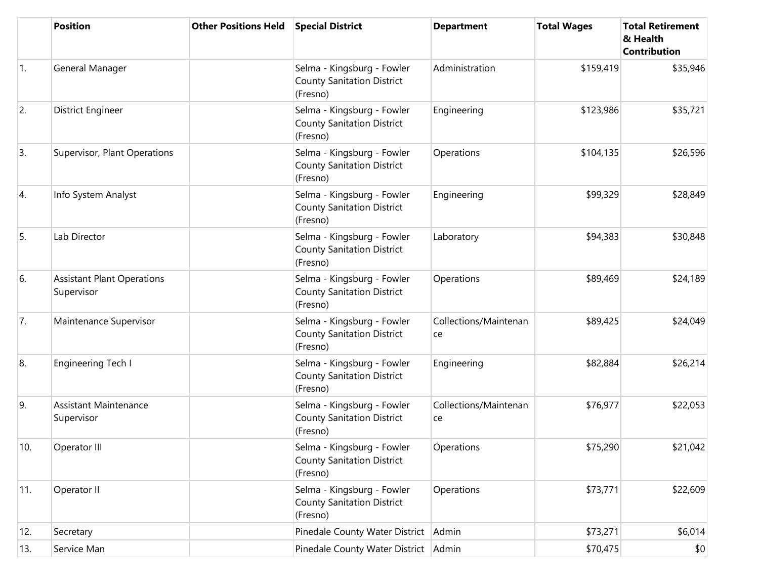|                  | <b>Position</b>                                 | <b>Other Positions Held</b> | <b>Special District</b>                                                     | <b>Department</b>           | <b>Total Wages</b> | <b>Total Retirement</b><br>& Health<br><b>Contribution</b> |
|------------------|-------------------------------------------------|-----------------------------|-----------------------------------------------------------------------------|-----------------------------|--------------------|------------------------------------------------------------|
| $\overline{1}$ . | General Manager                                 |                             | Selma - Kingsburg - Fowler<br><b>County Sanitation District</b><br>(Fresno) | Administration              | \$159,419          | \$35,946                                                   |
| 2.               | <b>District Engineer</b>                        |                             | Selma - Kingsburg - Fowler<br><b>County Sanitation District</b><br>(Fresno) | Engineering                 | \$123,986          | \$35,721                                                   |
| 3.               | Supervisor, Plant Operations                    |                             | Selma - Kingsburg - Fowler<br><b>County Sanitation District</b><br>(Fresno) | Operations                  | \$104,135          | \$26,596                                                   |
| 4.               | Info System Analyst                             |                             | Selma - Kingsburg - Fowler<br><b>County Sanitation District</b><br>(Fresno) | Engineering                 | \$99,329           | \$28,849                                                   |
| 5.               | Lab Director                                    |                             | Selma - Kingsburg - Fowler<br><b>County Sanitation District</b><br>(Fresno) | Laboratory                  | \$94,383           | \$30,848                                                   |
| 6.               | <b>Assistant Plant Operations</b><br>Supervisor |                             | Selma - Kingsburg - Fowler<br><b>County Sanitation District</b><br>(Fresno) | Operations                  | \$89,469           | \$24,189                                                   |
| 7.               | Maintenance Supervisor                          |                             | Selma - Kingsburg - Fowler<br><b>County Sanitation District</b><br>(Fresno) | Collections/Maintenan<br>ce | \$89,425           | \$24,049                                                   |
| 8.               | Engineering Tech I                              |                             | Selma - Kingsburg - Fowler<br><b>County Sanitation District</b><br>(Fresno) | Engineering                 | \$82,884           | \$26,214                                                   |
| 9.               | <b>Assistant Maintenance</b><br>Supervisor      |                             | Selma - Kingsburg - Fowler<br><b>County Sanitation District</b><br>(Fresno) | Collections/Maintenan<br>ce | \$76,977           | \$22,053                                                   |
| 10.              | Operator III                                    |                             | Selma - Kingsburg - Fowler<br><b>County Sanitation District</b><br>(Fresno) | Operations                  | \$75,290           | \$21,042                                                   |
| 11.              | Operator II                                     |                             | Selma - Kingsburg - Fowler<br><b>County Sanitation District</b><br>(Fresno) | Operations                  | \$73,771           | \$22,609                                                   |
| 12.              | Secretary                                       |                             | Pinedale County Water District                                              | Admin                       | \$73,271           | \$6,014                                                    |
| 13.              | Service Man                                     |                             | Pinedale County Water District Admin                                        |                             | \$70,475           | \$0                                                        |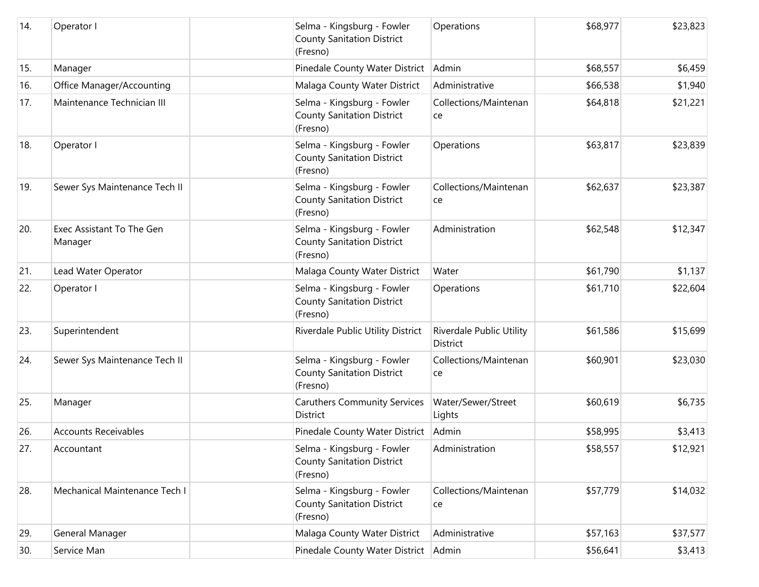| 14. | Operator I                           | Selma - Kingsburg - Fowler<br><b>County Sanitation District</b><br>(Fresno) | Operations                           | \$68,977 | \$23,823 |
|-----|--------------------------------------|-----------------------------------------------------------------------------|--------------------------------------|----------|----------|
| 15. | Manager                              | Pinedale County Water District                                              | Admin                                | \$68,557 | \$6,459  |
| 16. | Office Manager/Accounting            | Malaga County Water District                                                | Administrative                       | \$66,538 | \$1,940  |
| 17. | Maintenance Technician III           | Selma - Kingsburg - Fowler<br><b>County Sanitation District</b><br>(Fresno) | Collections/Maintenan<br>ce          | \$64,818 | \$21,221 |
| 18. | Operator I                           | Selma - Kingsburg - Fowler<br><b>County Sanitation District</b><br>(Fresno) | Operations                           | \$63,817 | \$23,839 |
| 19. | Sewer Sys Maintenance Tech II        | Selma - Kingsburg - Fowler<br><b>County Sanitation District</b><br>(Fresno) | Collections/Maintenan<br>ce          | \$62,637 | \$23,387 |
| 20. | Exec Assistant To The Gen<br>Manager | Selma - Kingsburg - Fowler<br><b>County Sanitation District</b><br>(Fresno) | Administration                       | \$62,548 | \$12,347 |
| 21. | Lead Water Operator                  | Malaga County Water District                                                | Water                                | \$61,790 | \$1,137  |
| 22. | Operator I                           | Selma - Kingsburg - Fowler<br><b>County Sanitation District</b><br>(Fresno) | Operations                           | \$61,710 | \$22,604 |
| 23. | Superintendent                       | Riverdale Public Utility District                                           | Riverdale Public Utility<br>District | \$61,586 | \$15,699 |
| 24. | Sewer Sys Maintenance Tech II        | Selma - Kingsburg - Fowler<br><b>County Sanitation District</b><br>(Fresno) | Collections/Maintenan<br>ce          | \$60,901 | \$23,030 |
| 25. | Manager                              | <b>Caruthers Community Services</b><br>District                             | Water/Sewer/Street<br>Lights         | \$60,619 | \$6,735  |
| 26. | <b>Accounts Receivables</b>          | Pinedale County Water District                                              | Admin                                | \$58,995 | \$3,413  |
| 27. | Accountant                           | Selma - Kingsburg - Fowler<br><b>County Sanitation District</b><br>(Fresno) | Administration                       | \$58,557 | \$12,921 |
| 28. | Mechanical Maintenance Tech I        | Selma - Kingsburg - Fowler<br><b>County Sanitation District</b><br>(Fresno) | Collections/Maintenan<br>ce          | \$57,779 | \$14,032 |
| 29. | General Manager                      | Malaga County Water District                                                | Administrative                       | \$57,163 | \$37,577 |
| 30. | Service Man                          | Pinedale County Water District                                              | Admin                                | \$56,641 | \$3,413  |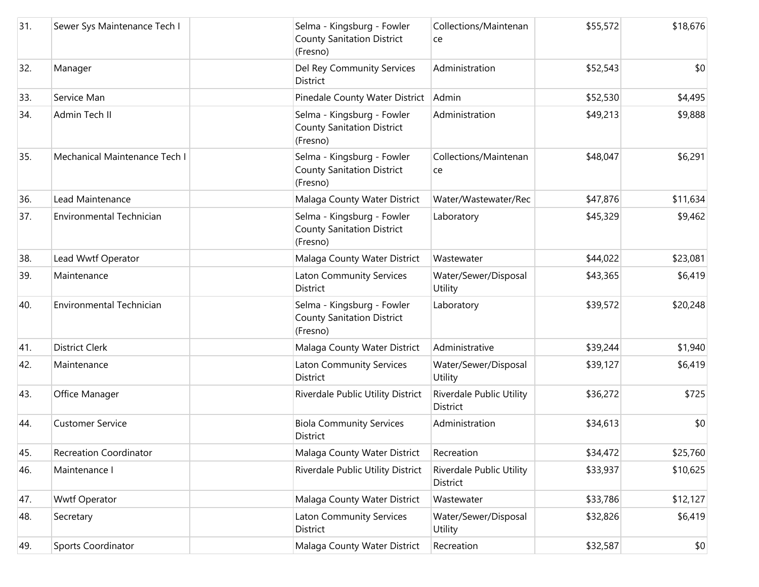| 31. | Sewer Sys Maintenance Tech I    | Selma - Kingsburg - Fowler<br><b>County Sanitation District</b><br>(Fresno) | Collections/Maintenan<br>ce          | \$55,572 | \$18,676 |
|-----|---------------------------------|-----------------------------------------------------------------------------|--------------------------------------|----------|----------|
| 32. | Manager                         | Del Rey Community Services<br>District                                      | Administration                       | \$52,543 | \$0      |
| 33. | Service Man                     | Pinedale County Water District                                              | Admin                                | \$52,530 | \$4,495  |
| 34. | Admin Tech II                   | Selma - Kingsburg - Fowler<br><b>County Sanitation District</b><br>(Fresno) | Administration                       | \$49,213 | \$9,888  |
| 35. | Mechanical Maintenance Tech I   | Selma - Kingsburg - Fowler<br><b>County Sanitation District</b><br>(Fresno) | Collections/Maintenan<br>ce          | \$48,047 | \$6,291  |
| 36. | Lead Maintenance                | Malaga County Water District                                                | Water/Wastewater/Rec                 | \$47,876 | \$11,634 |
| 37. | <b>Environmental Technician</b> | Selma - Kingsburg - Fowler<br><b>County Sanitation District</b><br>(Fresno) | Laboratory                           | \$45,329 | \$9,462  |
| 38. | Lead Wwtf Operator              | Malaga County Water District                                                | Wastewater                           | \$44,022 | \$23,081 |
| 39. | Maintenance                     | <b>Laton Community Services</b><br>District                                 | Water/Sewer/Disposal<br>Utility      | \$43,365 | \$6,419  |
| 40. | Environmental Technician        | Selma - Kingsburg - Fowler<br><b>County Sanitation District</b><br>(Fresno) | Laboratory                           | \$39,572 | \$20,248 |
| 41. | <b>District Clerk</b>           | Malaga County Water District                                                | Administrative                       | \$39,244 | \$1,940  |
| 42. | Maintenance                     | <b>Laton Community Services</b><br><b>District</b>                          | Water/Sewer/Disposal<br>Utility      | \$39,127 | \$6,419  |
| 43. | Office Manager                  | Riverdale Public Utility District                                           | Riverdale Public Utility<br>District | \$36,272 | \$725    |
| 44. | <b>Customer Service</b>         | <b>Biola Community Services</b><br>District                                 | Administration                       | \$34,613 | \$0      |
| 45. | <b>Recreation Coordinator</b>   | Malaga County Water District                                                | Recreation                           | \$34,472 | \$25,760 |
| 46. | Maintenance I                   | Riverdale Public Utility District                                           | Riverdale Public Utility<br>District | \$33,937 | \$10,625 |
| 47. | <b>Wwtf Operator</b>            | Malaga County Water District                                                | Wastewater                           | \$33,786 | \$12,127 |
| 48. | Secretary                       | Laton Community Services<br>District                                        | Water/Sewer/Disposal<br>Utility      | \$32,826 | \$6,419  |
| 49. | Sports Coordinator              | Malaga County Water District                                                | Recreation                           | \$32,587 | \$0      |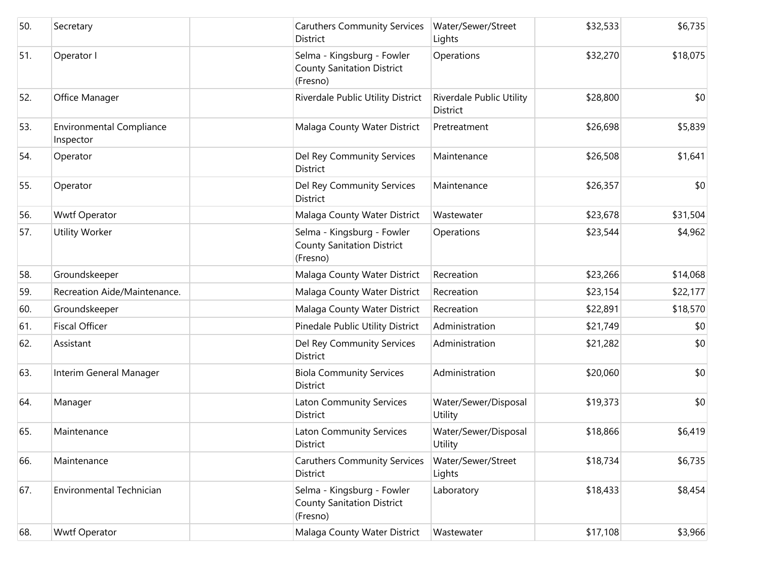| 50. | Secretary                                    | <b>Caruthers Community Services</b><br>District                             | Water/Sewer/Street<br>Lights                | \$32,533 | \$6,735  |
|-----|----------------------------------------------|-----------------------------------------------------------------------------|---------------------------------------------|----------|----------|
| 51. | Operator I                                   | Selma - Kingsburg - Fowler<br><b>County Sanitation District</b><br>(Fresno) | Operations                                  | \$32,270 | \$18,075 |
| 52. | Office Manager                               | Riverdale Public Utility District                                           | Riverdale Public Utility<br><b>District</b> | \$28,800 | \$0      |
| 53. | <b>Environmental Compliance</b><br>Inspector | Malaga County Water District                                                | Pretreatment                                | \$26,698 | \$5,839  |
| 54. | Operator                                     | Del Rey Community Services<br><b>District</b>                               | Maintenance                                 | \$26,508 | \$1,641  |
| 55. | Operator                                     | Del Rey Community Services<br><b>District</b>                               | Maintenance                                 | \$26,357 | \$0      |
| 56. | <b>Wwtf Operator</b>                         | Malaga County Water District                                                | Wastewater                                  | \$23,678 | \$31,504 |
| 57. | <b>Utility Worker</b>                        | Selma - Kingsburg - Fowler<br><b>County Sanitation District</b><br>(Fresno) | Operations                                  | \$23,544 | \$4,962  |
| 58. | Groundskeeper                                | Malaga County Water District                                                | Recreation                                  | \$23,266 | \$14,068 |
| 59. | Recreation Aide/Maintenance.                 | Malaga County Water District                                                | Recreation                                  | \$23,154 | \$22,177 |
| 60. | Groundskeeper                                | Malaga County Water District                                                | Recreation                                  | \$22,891 | \$18,570 |
| 61. | <b>Fiscal Officer</b>                        | Pinedale Public Utility District                                            | Administration                              | \$21,749 | \$0      |
| 62. | Assistant                                    | Del Rey Community Services<br><b>District</b>                               | Administration                              | \$21,282 | \$0      |
| 63. | Interim General Manager                      | <b>Biola Community Services</b><br>District                                 | Administration                              | \$20,060 | \$0      |
| 64. | Manager                                      | <b>Laton Community Services</b><br>District                                 | Water/Sewer/Disposal<br>Utility             | \$19,373 | \$0      |
| 65. | Maintenance                                  | <b>Laton Community Services</b><br>District                                 | Water/Sewer/Disposal<br>Utility             | \$18,866 | \$6,419  |
| 66. | Maintenance                                  | <b>Caruthers Community Services</b><br>District                             | Water/Sewer/Street<br>Lights                | \$18,734 | \$6,735  |
| 67. | Environmental Technician                     | Selma - Kingsburg - Fowler<br><b>County Sanitation District</b><br>(Fresno) | Laboratory                                  | \$18,433 | \$8,454  |
| 68. | <b>Wwtf Operator</b>                         | Malaga County Water District                                                | Wastewater                                  | \$17,108 | \$3,966  |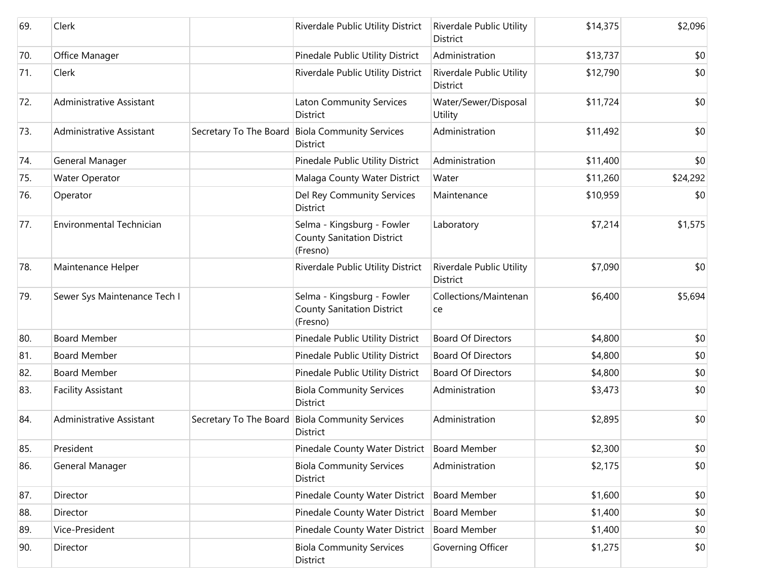| 69. | Clerk                           | Riverdale Public Utility District                                           | Riverdale Public Utility<br>District        | \$14,375 | \$2,096  |
|-----|---------------------------------|-----------------------------------------------------------------------------|---------------------------------------------|----------|----------|
| 70. | Office Manager                  | Pinedale Public Utility District                                            | Administration                              | \$13,737 | \$0      |
| 71. | Clerk                           | Riverdale Public Utility District                                           | Riverdale Public Utility<br><b>District</b> | \$12,790 | \$0      |
| 72. | Administrative Assistant        | <b>Laton Community Services</b><br>District                                 | Water/Sewer/Disposal<br>Utility             | \$11,724 | \$0      |
| 73. | Administrative Assistant        | Secretary To The Board Biola Community Services<br><b>District</b>          | Administration                              | \$11,492 | \$0      |
| 74. | General Manager                 | Pinedale Public Utility District                                            | Administration                              | \$11,400 | \$0      |
| 75. | <b>Water Operator</b>           | Malaga County Water District                                                | Water                                       | \$11,260 | \$24,292 |
| 76. | Operator                        | Del Rey Community Services<br>District                                      | Maintenance                                 | \$10,959 | \$0      |
| 77. | <b>Environmental Technician</b> | Selma - Kingsburg - Fowler<br><b>County Sanitation District</b><br>(Fresno) | Laboratory                                  | \$7,214  | \$1,575  |
| 78. | Maintenance Helper              | Riverdale Public Utility District                                           | Riverdale Public Utility<br>District        | \$7,090  | \$0      |
| 79. | Sewer Sys Maintenance Tech I    | Selma - Kingsburg - Fowler<br><b>County Sanitation District</b><br>(Fresno) | Collections/Maintenan<br>ce                 | \$6,400  | \$5,694  |
| 80. | <b>Board Member</b>             | Pinedale Public Utility District                                            | <b>Board Of Directors</b>                   | \$4,800  | \$0      |
| 81. | <b>Board Member</b>             | Pinedale Public Utility District                                            | <b>Board Of Directors</b>                   | \$4,800  | \$0      |
| 82. | <b>Board Member</b>             | Pinedale Public Utility District                                            | <b>Board Of Directors</b>                   | \$4,800  | \$0      |
| 83. | <b>Facility Assistant</b>       | <b>Biola Community Services</b><br>District                                 | Administration                              | \$3,473  | \$0      |
| 84. | Administrative Assistant        | Secretary To The Board Biola Community Services<br>District                 | Administration                              | \$2,895  | \$0      |
| 85. | President                       | Pinedale County Water District Board Member                                 |                                             | \$2,300  | \$0      |
| 86. | General Manager                 | <b>Biola Community Services</b><br>District                                 | Administration                              | \$2,175  | \$0      |
| 87. | Director                        | Pinedale County Water District                                              | <b>Board Member</b>                         | \$1,600  | \$0      |
| 88. | Director                        | Pinedale County Water District                                              | <b>Board Member</b>                         | \$1,400  | \$0      |
| 89. | Vice-President                  | Pinedale County Water District                                              | <b>Board Member</b>                         | \$1,400  | \$0      |
| 90. | Director                        | <b>Biola Community Services</b><br>District                                 | Governing Officer                           | \$1,275  | \$0      |